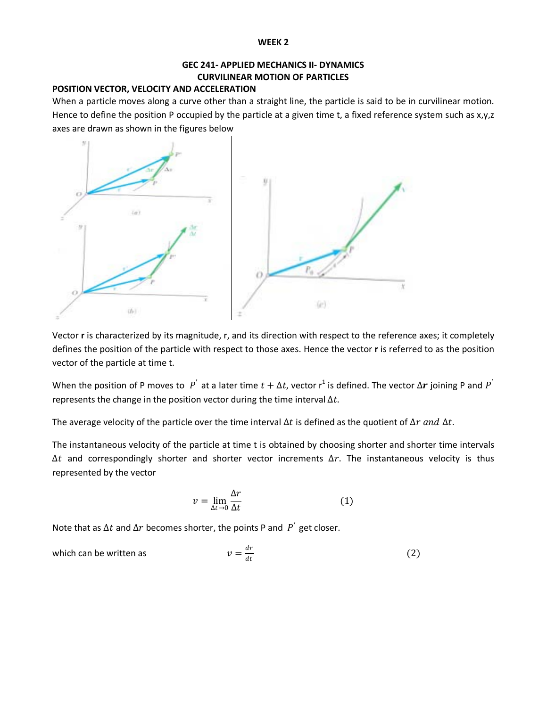#### **WEEK 2**

## **GEC 241- APPLIED MECHANICS II- DYNAMICS CURVILINEAR MOTION OF PARTICLES**

## **POSITION VECTOR, VELOCITY AND ACCELERATION**

When a particle moves along a curve other than a straight line, the particle is said to be in curvilinear motion. Hence to define the position P occupied by the particle at a given time t, a fixed reference system such as  $x,y,z$ axes are drawn as shown in the figures below



Vector **r** is characterized by its magnitude, r, and its direction with respect to the reference axes; it completely defines the position of the particle with respect to those axes. Hence the vector **r** is referred to as the position vector of the particle at time t.

When the position of P moves to  $P'$  at a later time  $t + \Delta t$ , vector  $r^1$  is defined. The vector  $\Delta r$  joining P and  $P'$ represents the change in the position vector during the time interval  $\Delta t$ .

The average velocity of the particle over the time interval  $\Delta t$  is defined as the quotient of  $\Delta r$  and  $\Delta t$ .

The instantaneous velocity of the particle at time t is obtained by choosing shorter and shorter time intervals  $\Delta t$  and correspondingly shorter and shorter vector increments  $\Delta r$ . The instantaneous velocity is thus represented by the vector

$$
v = \lim_{\Delta t \to 0} \frac{\Delta r}{\Delta t} \tag{1}
$$

Note that as  $\Delta t$  and  $\Delta r$  becomes shorter, the points P and  $P^{'}$  get closer.

which can be written as 
$$
v = \frac{dr}{dt}
$$
 (2)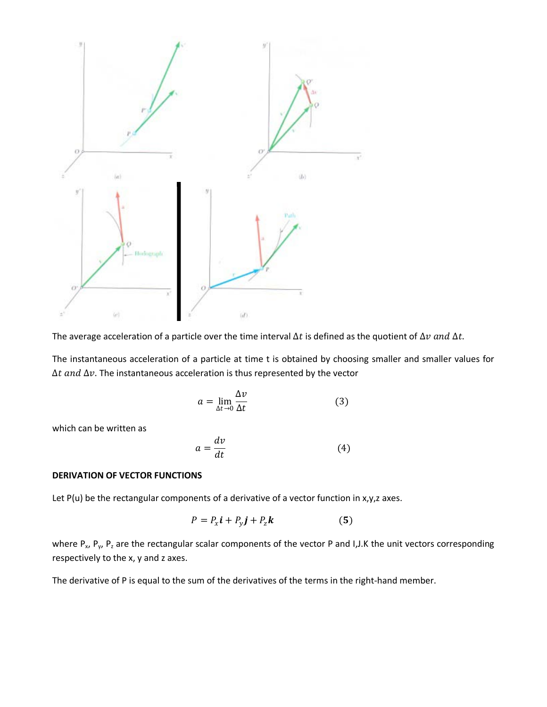

The average acceleration of a particle over the time interval  $\Delta t$  is defined as the quotient of  $\Delta v$  and  $\Delta t$ .

The instantaneous acceleration of a particle at time t is obtained by choosing smaller and smaller values for  $\Delta t$  and  $\Delta v$ . The instantaneous acceleration is thus represented by the vector

$$
a = \lim_{\Delta t \to 0} \frac{\Delta v}{\Delta t} \tag{3}
$$

which can be written as

$$
a = \frac{dv}{dt} \tag{4}
$$

## **DERIVATION OF VECTOR FUNCTIONS**

Let P(u) be the rectangular components of a derivative of a vector function in x,y,z axes.

$$
P = P_x \mathbf{i} + P_y \mathbf{j} + P_z \mathbf{k} \tag{5}
$$

where  $P_x$ ,  $P_y$ ,  $P_z$  are the rectangular scalar components of the vector P and I,J.K the unit vectors corresponding respectively to the x, y and z axes.

The derivative of P is equal to the sum of the derivatives of the terms in the right-hand member.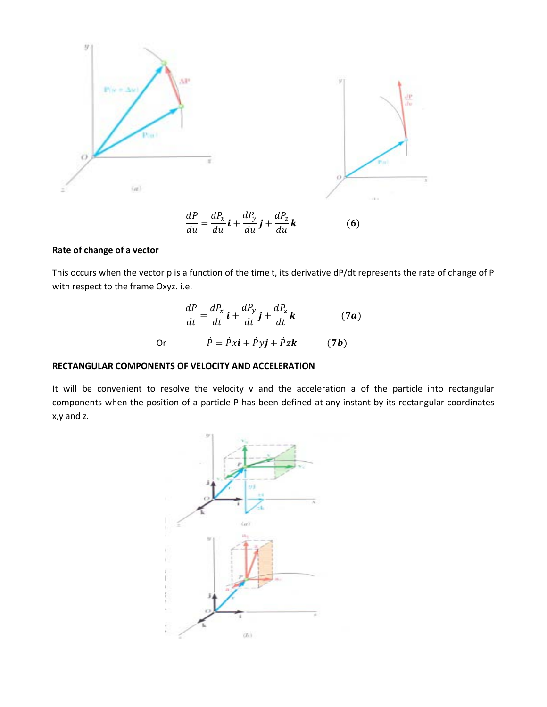

# $\frac{d}{du} = \frac{du_x}{du} i + \frac{u_y}{du} j + \frac{u_z}{du}$

## **Rate of change of a vector**

This occurs when the vector p is a function of the time t, its derivative dP/dt represents the rate of change of P with respect to the frame Oxyz. i.e.

$$
\frac{dP}{dt} = \frac{dP_x}{dt}\mathbf{i} + \frac{dP_y}{dt}\mathbf{j} + \frac{dP_z}{dt}\mathbf{k}
$$
 (7*a*)  
Or 
$$
\dot{P} = \dot{P}x\mathbf{i} + \dot{P}y\mathbf{j} + \dot{P}z\mathbf{k}
$$
 (7*b*)

## **RECTANGULAR COMPONENTS OF VELOCITY AND ACCELERATION**

It will be convenient to resolve the velocity v and the acceleration a of the particle into rectangular components when the position of a particle P has been defined at any instant by its rectangular coordinates x,y and z.

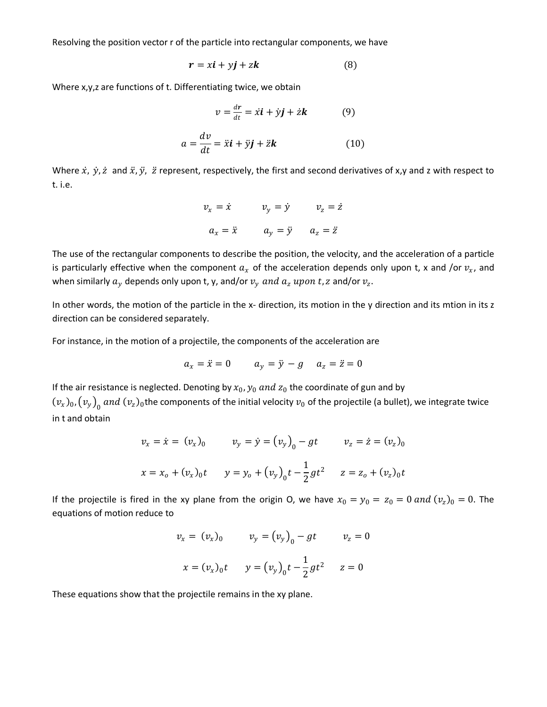Resolving the position vector r of the particle into rectangular components, we have

$$
r = x\mathbf{i} + y\mathbf{j} + z\mathbf{k} \tag{8}
$$

Where x,y,z are functions of t. Differentiating twice, we obtain

$$
v = \frac{dr}{dt} = \dot{x}\mathbf{i} + \dot{y}\mathbf{j} + \dot{z}\mathbf{k} \tag{9}
$$

$$
a = \frac{dv}{dt} = \ddot{x}\mathbf{i} + \ddot{y}\mathbf{j} + \ddot{z}\mathbf{k} \tag{10}
$$

Where  $\dot{x}$ ,  $\dot{y}$ ,  $\dot{z}$  and  $\ddot{x}$ ,  $\ddot{y}$ ,  $\ddot{z}$  represent, respectively, the first and second derivatives of x,y and z with respect to t. i.e.

$$
v_x = \dot{x} \qquad v_y = \dot{y} \qquad v_z = \dot{z}
$$

$$
a_x = \ddot{x} \qquad a_y = \ddot{y} \qquad a_z = \ddot{z}
$$

The use of the rectangular components to describe the position, the velocity, and the acceleration of a particle is particularly effective when the component  $a_x$  of the acceleration depends only upon t, x and /or  $v_x$ , and when similarly  $a_y$  depends only upon t, y, and/or  $v_y$  and  $a_z$  upon t, z and/or  $v_z$ .

In other words, the motion of the particle in the x- direction, its motion in the y direction and its mtion in its z direction can be considered separately.

For instance, in the motion of a projectile, the components of the acceleration are

$$
a_x = \ddot{x} = 0 \qquad a_y = \ddot{y} - g \qquad a_z = \ddot{z} = 0
$$

If the air resistance is neglected. Denoting by  $x_0$ ,  $y_0$  and  $z_0$  the coordinate of gun and by  $(v_x)_0$ ,  $(v_y)_0$  and  $(v_z)_0$ the components of the initial velocity  $v_0$  of the projectile (a bullet), we integrate twice in t and obtain

$$
v_x = \dot{x} = (v_x)_0 \qquad v_y = \dot{y} = (v_y)_0 - gt \qquad v_z = \dot{z} = (v_z)_0
$$
  

$$
x = x_0 + (v_x)_0 t \qquad y = y_0 + (v_y)_0 t - \frac{1}{2}gt^2 \qquad z = z_0 + (v_z)_0 t
$$

If the projectile is fired in the xy plane from the origin O, we have  $x_0 = y_0 = z_0 = 0$  and  $(v_z)_0 = 0$ . The equations of motion reduce to

$$
v_x = (v_x)_0 \t v_y = (v_y)_0 - gt \t v_z = 0
$$
  

$$
x = (v_x)_0 t \t y = (v_y)_0 t - \frac{1}{2}gt^2 \t z = 0
$$

These equations show that the projectile remains in the xy plane.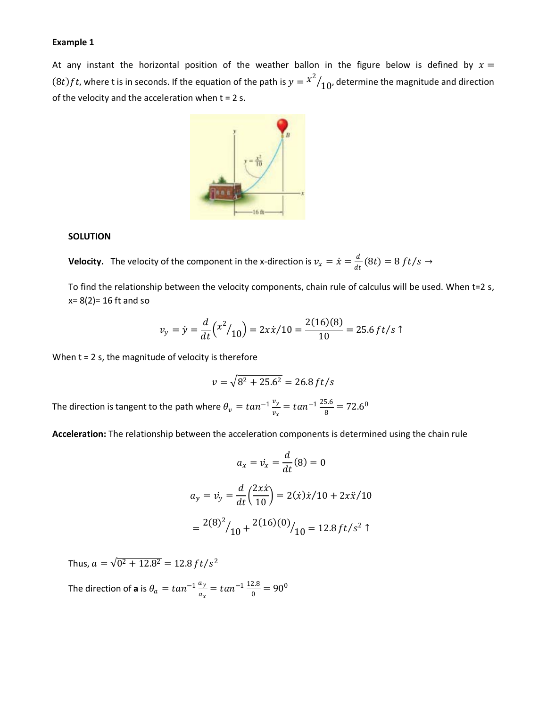#### **Example 1**

At any instant the horizontal position of the weather ballon in the figure below is defined by  $x =$  $(8t)ft$ , where t is in seconds. If the equation of the path is  $y = \frac{x^2}{10}$ , determine the magnitude and direction of the velocity and the acceleration when  $t = 2$  s.



#### **SOLUTION**

**Velocity.** The velocity of the component in the x-direction is  $v_x = \dot{x} = \frac{d}{dt}(8t) = 8 ft/s \rightarrow$ 

To find the relationship between the velocity components, chain rule of calculus will be used. When t=2 s,  $x= 8(2)= 16$  ft and so

$$
v_y = \dot{y} = \frac{d}{dt} (x^2 / 10) = 2x\dot{x}/10 = \frac{2(16)(8)}{10} = 25.6 \, \text{ft/s} \, \text{T}
$$

When  $t = 2$  s, the magnitude of velocity is therefore

$$
v = \sqrt{8^2 + 25.6^2} = 26.8 \, ft/s
$$

The direction is tangent to the path where  $\theta_v = tan^{-1} \frac{v_y}{v_x} = tan^{-1} \frac{25.6}{8} = 72.6^{\circ}$ 

**Acceleration:** The relationship between the acceleration components is determined using the chain rule

$$
a_x = \dot{v}_x = \frac{d}{dt}(8) = 0
$$
  

$$
a_y = \dot{v}_y = \frac{d}{dt} \left(\frac{2x\dot{x}}{10}\right) = 2(\dot{x})\dot{x}/10 + 2x\ddot{x}/10
$$
  

$$
= \frac{2(8)^2}{10} + \frac{2(16)(0)}{10} = 12.8 \, \text{ft/s}^2 \, \text{T}
$$

Thus,  $a = \sqrt{0^2 + 12.8^2} = 12.8 \, ft/s^2$ 

The direction of **a** is  $\theta_a = \tan^{-1} \frac{a_y}{a_x} = \tan^{-1} \frac{12.8}{0} = 90^0$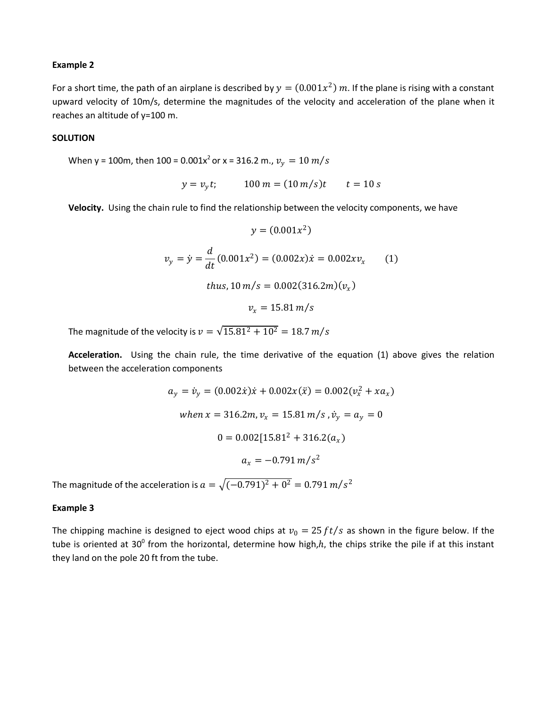#### **Example 2**

For a short time, the path of an airplane is described by  $y = (0.001x^2)$  m. If the plane is rising with a constant upward velocity of 10m/s, determine the magnitudes of the velocity and acceleration of the plane when it reaches an altitude of y=100 m.

## **SOLUTION**

When y = 100m, then 100 =  $0.001x^2$  or x = 316.2 m.,  $v_y = 10 m/s$ 

$$
y = v_y t;
$$
 100 m = (10 m/s)t t = 10 s

**Velocity.** Using the chain rule to find the relationship between the velocity components, we have

$$
y = (0.001x^{2})
$$
  

$$
v_{y} = \dot{y} = \frac{d}{dt}(0.001x^{2}) = (0.002x)\dot{x} = 0.002xv_{x}
$$
 (1)  
thus, 10 m/s = 0.002(316.2m)(v<sub>x</sub>)  

$$
v_{x} = 15.81 \, m/s
$$

The magnitude of the velocity is  $v = \sqrt{15.81^2 + 10^2} = 18.7 \, m/s$ 

**Acceleration.** Using the chain rule, the time derivative of the equation (1) above gives the relation between the acceleration components

$$
a_y = \dot{v}_y = (0.002\dot{x})\dot{x} + 0.002x(\ddot{x}) = 0.002(v_x^2 + xa_x)
$$
  
when  $x = 316.2m$ ,  $v_x = 15.81$  m/s,  $\dot{v}_y = a_y = 0$   

$$
0 = 0.002[15.81^2 + 316.2(a_x)
$$

$$
a_x = -0.791
$$
 m/s<sup>2</sup>

The magnitude of the acceleration is  $a = \sqrt{(-0.791)^2 + 0^2} = 0.791 m/s^2$ 

#### **Example 3**

The chipping machine is designed to eject wood chips at  $v_0 = 25 ft/s$  as shown in the figure below. If the tube is oriented at 30<sup>0</sup> from the horizontal, determine how high, $h$ , the chips strike the pile if at this instant they land on the pole 20 ft from the tube.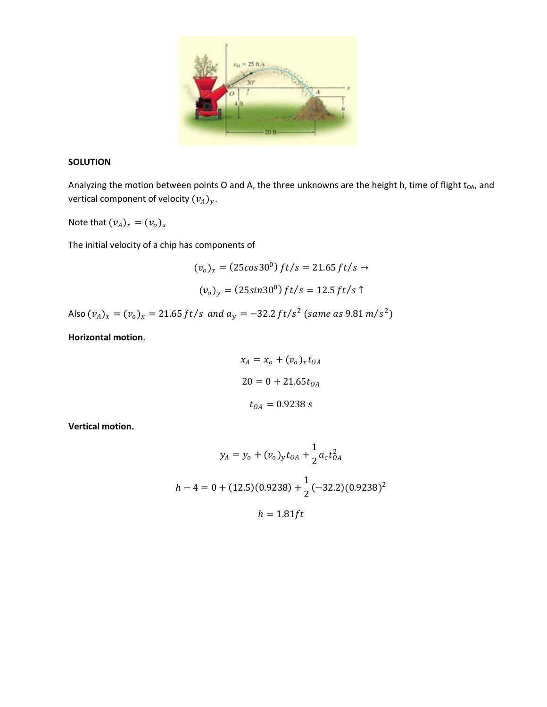

## **SOLUTION**

Analyzing the motion between points O and A, the three unknowns are the height h, time of flight  $t_{OA}$ , and vertical component of velocity  $(v_A)_y$ .

Note that  $(v_A)_x = (v_o)_x$ 

The initial velocity of a chip has components of

$$
(v_o)_x = (25\cos 30^\circ) ft/s = 21.65 ft/s \rightarrow
$$

$$
(v_o)_y = (25\sin 30^\circ) ft/s = 12.5 ft/s \uparrow
$$

Also  $(v_A)_x = (v_o)_x = 21.65 \, ft/s$  and  $a_y = -32.2 \, ft/s^2$  (same as  $9.81 \, m/s^2$ )

**Horizontal motion**.

$$
x_A = x_o + (v_o)_x t_{OA}
$$
  

$$
20 = 0 + 21.65 t_{OA}
$$
  

$$
t_{OA} = 0.9238 s
$$

**Vertical motion.**

$$
y_A = y_o + (v_o)_y t_{OA} + \frac{1}{2} a_c t_{OA}^2
$$
  

$$
h - 4 = 0 + (12.5)(0.9238) + \frac{1}{2} (-32.2)(0.9238)^2
$$
  

$$
h = 1.81 ft
$$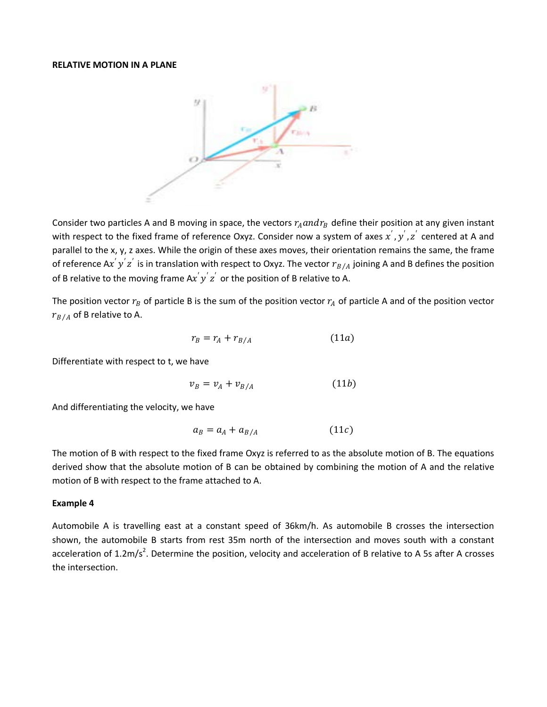#### **RELATIVE MOTION IN A PLANE**



Consider two particles A and B moving in space, the vectors  $r_A$  and  $r_B$  define their position at any given instant with respect to the fixed frame of reference Oxyz. Consider now a system of axes  $x', y', z'$  centered at A and parallel to the x, y, z axes. While the origin of these axes moves, their orientation remains the same, the frame of reference A $x^{'}y^{'}z^{'}$  is in translation with respect to Oxyz. The vector  $r_{B/A}$  joining A and B defines the position of B relative to the moving frame A $x'y'z'$  or the position of B relative to A.

The position vector  $r_B$  of particle B is the sum of the position vector  $r_A$  of particle A and of the position vector  $r_{B/A}$  of B relative to A.

$$
r_B = r_A + r_{B/A} \tag{11a}
$$

Differentiate with respect to t, we have

$$
v_B = v_A + v_{B/A} \tag{11b}
$$

And differentiating the velocity, we have

$$
a_B = a_A + a_{B/A} \tag{11c}
$$

The motion of B with respect to the fixed frame Oxyz is referred to as the absolute motion of B. The equations derived show that the absolute motion of B can be obtained by combining the motion of A and the relative motion of B with respect to the frame attached to A.

#### **Example 4**

Automobile A is travelling east at a constant speed of 36km/h. As automobile B crosses the intersection shown, the automobile B starts from rest 35m north of the intersection and moves south with a constant acceleration of  $1.2 \text{m/s}^2$ . Determine the position, velocity and acceleration of B relative to A 5s after A crosses the intersection.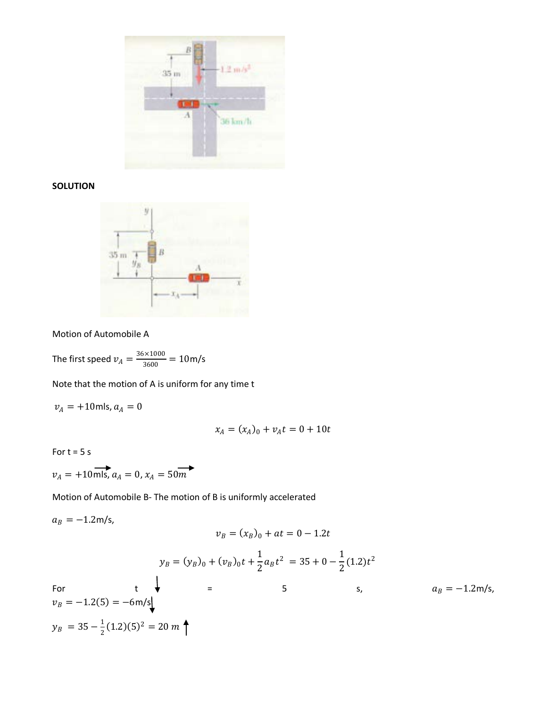

# **SOLUTION**



Motion of Automobile A

The first speed  $v_A = \frac{36 \times 1000}{3600} = 10$  m/s

Note that the motion of A is uniform for any time t

 $v_A$  = +10mls,  $a_A$  = 0

$$
x_A = (x_A)_0 + v_A t = 0 + 10t
$$

For  $t = 5 s$ 

$$
v_A = +10 \overrightarrow{\text{mls}}, a_A = 0, x_A = 50 \overrightarrow{m}
$$

Motion of Automobile B- The motion of B is uniformly accelerated

$$
a_B = -1.2 \text{m/s},
$$
  
\n
$$
v_B = (x_B)_0 + at = 0 - 1.2t
$$
  
\n
$$
y_B = (y_B)_0 + (v_B)_0t + \frac{1}{2}a_Bt^2 = 35 + 0 - \frac{1}{2}(1.2)t^2
$$
  
\nFor  
\n
$$
v_B = -1.2(5) = -6 \text{m/s}
$$
  
\n
$$
y_B = 35 - \frac{1}{2}(1.2)(5)^2 = 20 \text{ m}
$$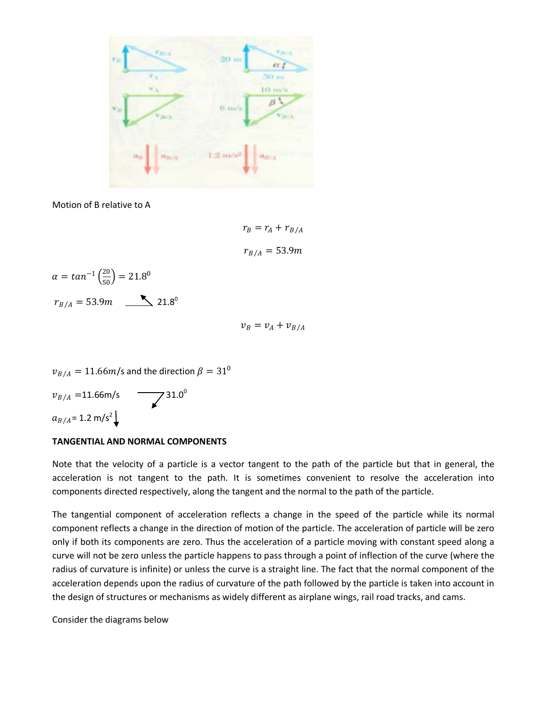

Motion of B relative to A

 $r_B = r_A + r_{B/A}$  $r_{R/A} = 53.9m$ 

$$
\alpha = \tan^{-1}\left(\frac{20}{50}\right) = 21.8^0
$$

$$
r_{B/A} = 53.9m \longrightarrow 21.8^0
$$

 $v_B = v_A + v_{B/A}$ 

$$
v_{B/A} = 11.66m/s
$$
 and the direction  $\beta = 31^0$   
 $v_{B/A} = 11.66m/s$   
 $a_{B/A} = 1.2 \text{ m/s}^2$ 

## **TANGENTIAL AND NORMAL COMPONENTS**

Note that the velocity of a particle is a vector tangent to the path of the particle but that in general, the acceleration is not tangent to the path. It is sometimes convenient to resolve the acceleration into components directed respectively, along the tangent and the normal to the path of the particle.

The tangential component of acceleration reflects a change in the speed of the particle while its normal component reflects a change in the direction of motion of the particle. The acceleration of particle will be zero only if both its components are zero. Thus the acceleration of a particle moving with constant speed along a curve will not be zero unless the particle happens to pass through a point of inflection of the curve (where the radius of curvature is infinite) or unless the curve is a straight line. The fact that the normal component of the acceleration depends upon the radius of curvature of the path followed by the particle is taken into account in the design of structures or mechanisms as widely different as airplane wings, rail road tracks, and cams.

Consider the diagrams below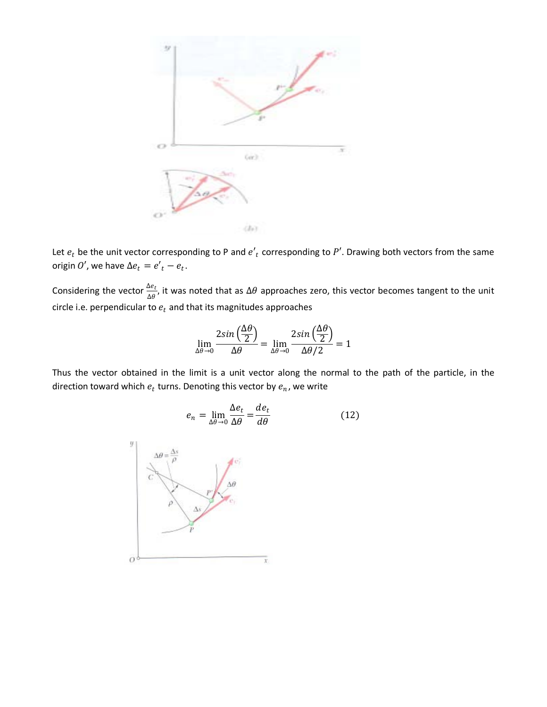

Let  $e_t$  be the unit vector corresponding to P and  $e'_t$  corresponding to P'. Drawing both vectors from the same origin  $0'$ , we have  $\Delta e_t = e'_t - e_t$ .

Considering the vector  $\frac{\Delta e_t}{\Delta \theta}$ , it was noted that as  $\Delta \theta$  approaches zero, this vector becomes tangent to the unit circle i.e. perpendicular to  $e_t$  and that its magnitudes approaches

$$
\lim_{\Delta\theta \to 0} \frac{2\sin\left(\frac{\Delta\theta}{2}\right)}{\Delta\theta} = \lim_{\Delta\theta \to 0} \frac{2\sin\left(\frac{\Delta\theta}{2}\right)}{\Delta\theta/2} = 1
$$

Thus the vector obtained in the limit is a unit vector along the normal to the path of the particle, in the direction toward which  $e_t$  turns. Denoting this vector by  $e_n$ , we write

$$
e_n = \lim_{\Delta \theta \to 0} \frac{\Delta e_t}{\Delta \theta} = \frac{de_t}{d\theta} \tag{12}
$$

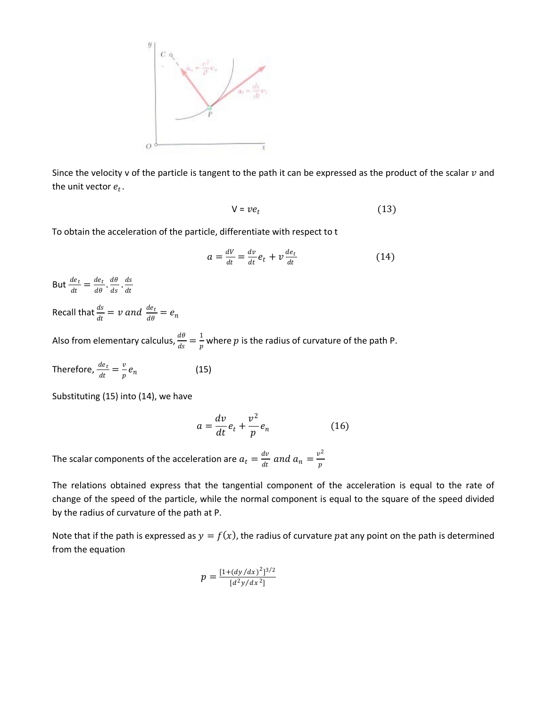

Since the velocity v of the particle is tangent to the path it can be expressed as the product of the scalar  $v$  and the unit vector  $e_t$ .

$$
V = v e_t \tag{13}
$$

To obtain the acceleration of the particle, differentiate with respect to t

$$
a = \frac{dV}{dt} = \frac{dv}{dt}e_t + v\frac{de_t}{dt}
$$
 (14)

But  $\frac{de_t}{dt} = \frac{de_t}{d\theta} \cdot \frac{d\theta}{ds} \cdot \frac{ds}{dt}$ 

Recall that  $\frac{ds}{dt} = v$  and  $\frac{de_t}{d\theta} = e_n$ 

Also from elementary calculus,  $\frac{d\theta}{ds} = \frac{1}{p}$  where p is the radius of curvature of the path P.

Therefore, 
$$
\frac{de_t}{dt} = \frac{v}{p} e_n
$$
 (15)

Substituting (15) into (14), we have

$$
a = \frac{dv}{dt}e_t + \frac{v^2}{p}e_n \tag{16}
$$

The scalar components of the acceleration are  $a_t = \frac{dv}{dt}$  and  $a_n = \frac{v^2}{n}$ 

The relations obtained express that the tangential component of the acceleration is equal to the rate of change of the speed of the particle, while the normal component is equal to the square of the speed divided by the radius of curvature of the path at P.

Note that if the path is expressed as  $y = f(x)$ , the radius of curvature pat any point on the path is determined from the equation

$$
p = \frac{\left[1 + \left(\frac{dy}{dx}\right)^2\right]^{3/2}}{\left[d^2y/dx^2\right]}
$$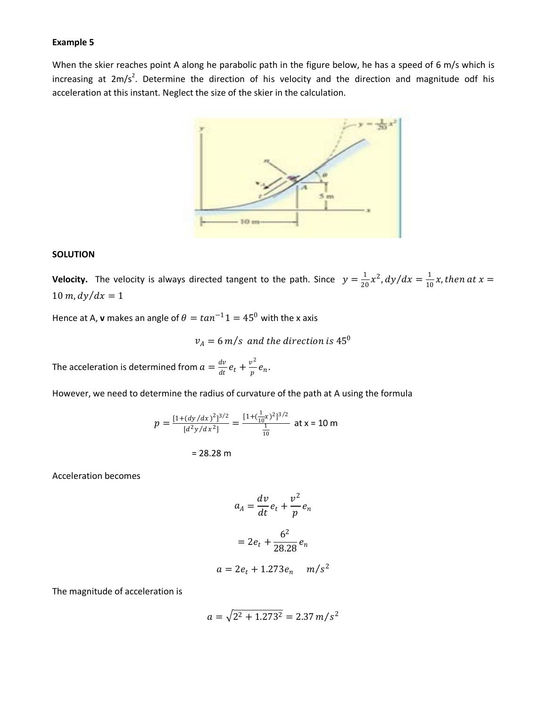#### **Example 5**

When the skier reaches point A along he parabolic path in the figure below, he has a speed of 6 m/s which is increasing at  $2m/s^2$ . Determine the direction of his velocity and the direction and magnitude odf his acceleration at this instant. Neglect the size of the skier in the calculation.



#### **SOLUTION**

**Velocity.** The velocity is always directed tangent to the path. Since  $y = \frac{1}{20}x^2$ ,  $dy/dx = \frac{1}{10}x$ , then at  $x =$  $10 \, m$ ,  $dy/dx = 1$ 

Hence at A, **v** makes an angle of  $\theta = \tan^{-1} 1 = 45^{\circ}$  with the x axis

$$
v_A = 6
$$
 m/s and the direction is  $45^0$ 

The acceleration is determined from  $a = \frac{dv}{dt} e_t + \frac{v^2}{p} e_n$ .

However, we need to determine the radius of curvature of the path at A using the formula

$$
p = \frac{[1 + (dy/dx)^{2}]^{3/2}}{[d^{2}y/dx^{2}]} = \frac{[1 + (\frac{1}{10}x)^{2}]^{3/2}}{\frac{1}{10}} \text{ at } x = 10 \text{ m}
$$

$$
= 28.28 \text{ m}
$$

Acceleration becomes

$$
a_A = \frac{dv}{dt}e_t + \frac{v^2}{p}e_n
$$

$$
= 2e_t + \frac{6^2}{28.28}e_n
$$

$$
a = 2e_t + 1.273e_n \quad m/s^2
$$

The magnitude of acceleration is

$$
a = \sqrt{2^2 + 1.273^2} = 2.37 \, m/s^2
$$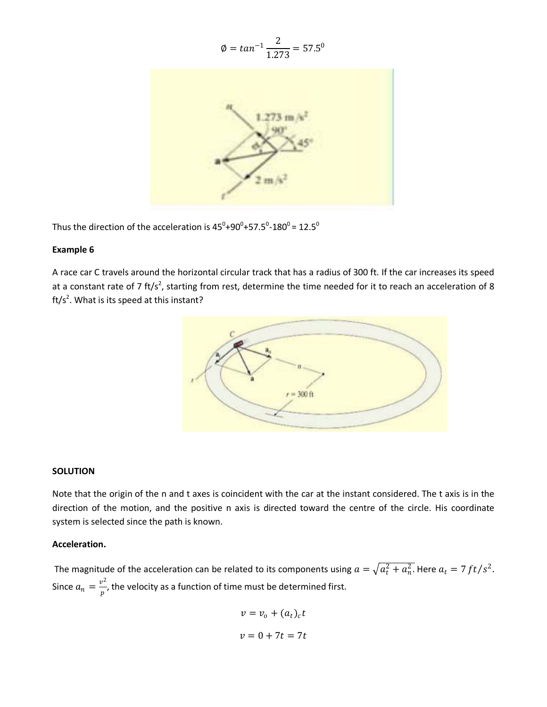$$
\emptyset = \tan^{-1} \frac{2}{1.273} = 57.5^{\circ}
$$



Thus the direction of the acceleration is 45<sup>0</sup>+90<sup>0</sup>+57.5<sup>0</sup>-180<sup>0</sup> = 12.5<sup>0</sup>

## **Example 6**

A race car C travels around the horizontal circular track that has a radius of 300 ft. If the car increases its speed at a constant rate of 7 ft/s<sup>2</sup>, starting from rest, determine the time needed for it to reach an acceleration of 8 ft/s<sup>2</sup>. What is its speed at this instant?



## **SOLUTION**

Note that the origin of the n and t axes is coincident with the car at the instant considered. The t axis is in the direction of the motion, and the positive n axis is directed toward the centre of the circle. His coordinate system is selected since the path is known.

## **Acceleration.**

The magnitude of the acceleration can be related to its components using  $a = \sqrt{a_t^2 + a_n^2}$ . Here  $a_t = 7 ft/s^2$ . Since  $a_n=\frac{v^2}{n}$ , the velocity as a function of time must be determined first.

$$
v = v_o + (a_t)_c t
$$
  

$$
v = 0 + 7t = 7t
$$